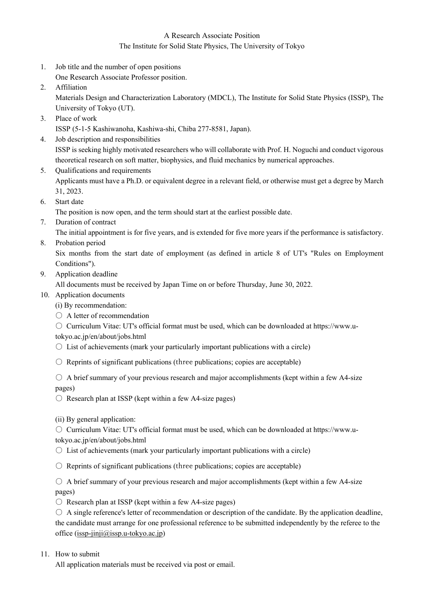## A Research Associate Position

## The Institute for Solid State Physics, The University of Tokyo

- 1. Job title and the number of open positions One Research Associate Professor position.
- 2. Affiliation

Materials Design and Characterization Laboratory (MDCL), The Institute for Solid State Physics (ISSP), The University of Tokyo (UT).

- 3. Place of work ISSP (5-1-5 Kashiwanoha, Kashiwa-shi, Chiba 277-8581, Japan).
- 4. Job description and responsibilities ISSP is seeking highly motivated researchers who will collaborate with Prof. H. Noguchi and conduct vigorous theoretical research on soft matter, biophysics, and fluid mechanics by numerical approaches.
- 5. Qualifications and requirements Applicants must have a Ph.D. or equivalent degree in a relevant field, or otherwise must get a degree by March 31, 2023.
- 6. Start date

The position is now open, and the term should start at the earliest possible date.

7. Duration of contract

The initial appointment is for five years, and is extended for five more years if the performance is satisfactory.

8. Probation period

Six months from the start date of employment (as defined in article 8 of UT's "Rules on Employment Conditions").

9. Application deadline

All documents must be received by Japan Time on or before Thursday, June 30, 2022.

## 10. Application documents

- (i) By recommendation:
- A letter of recommendation
- $\circlearrowright$  Curriculum Vitae: UT's official format must be used, which can be downloaded at https://www.u-

tokyo.ac.jp/en/about/jobs.html

 $\circ$  List of achievements (mark your particularly important publications with a circle)

 $\circ$  Reprints of significant publications (three publications; copies are acceptable)

 $\circ$  A brief summary of your previous research and major accomplishments (kept within a few A4-size pages)

- $\circ$  Research plan at ISSP (kept within a few A4-size pages)
- (ii) By general application:

○ Curriculum Vitae: UT's official format must be used, which can be downloaded at https://www.utokyo.ac.jp/en/about/jobs.html

- $\circ$  List of achievements (mark your particularly important publications with a circle)
- $\circ$  Reprints of significant publications (three publications; copies are acceptable)

 $\circ$  A brief summary of your previous research and major accomplishments (kept within a few A4-size pages)

 $\circ$  Research plan at ISSP (kept within a few A4-size pages)

 $\circ$  A single reference's letter of recommendation or description of the candidate. By the application deadline, the candidate must arrange for one professional reference to be submitted independently by the referee to the office (issp-jinji@issp.u-tokyo.ac.jp)

11. How to submit

All application materials must be received via post or email.